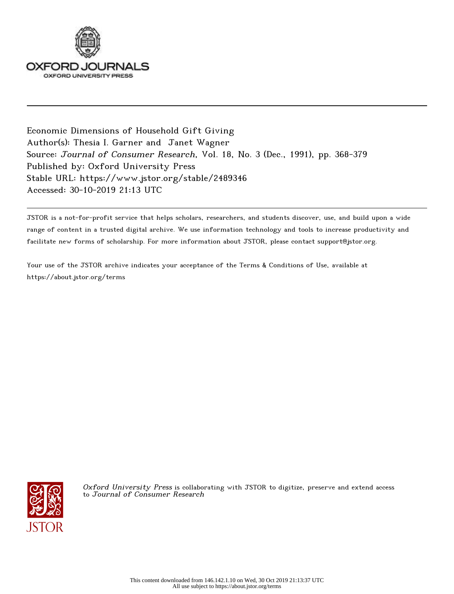

Economic Dimensions of Household Gift Giving Author(s): Thesia I. Garner and Janet Wagner Source: Journal of Consumer Research, Vol. 18, No. 3 (Dec., 1991), pp. 368-379 Published by: Oxford University Press Stable URL: https://www.jstor.org/stable/2489346 Accessed: 30-10-2019 21:13 UTC

JSTOR is a not-for-profit service that helps scholars, researchers, and students discover, use, and build upon a wide range of content in a trusted digital archive. We use information technology and tools to increase productivity and facilitate new forms of scholarship. For more information about JSTOR, please contact support@jstor.org.

Your use of the JSTOR archive indicates your acceptance of the Terms & Conditions of Use, available at https://about.jstor.org/terms



Oxford University Press is collaborating with JSTOR to digitize, preserve and extend access to Journal of Consumer Research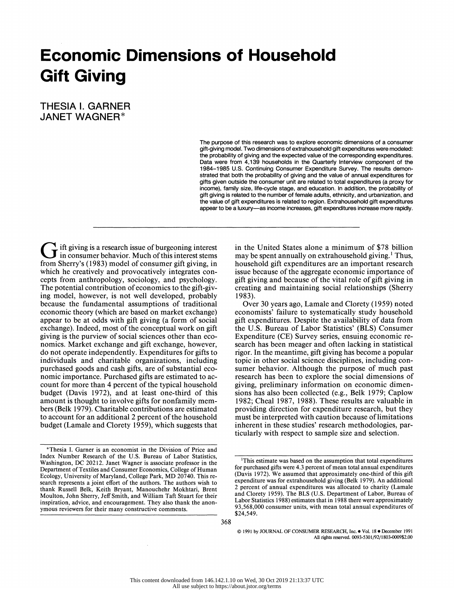# Economic Dimensions of Household Gift Giving

 THESIA 1. GARNER JANET WAGNER\*

> The purpose of this research was to explore economic dimensions of a consumer gift-giving model. Two dimensions of extrahousehold gift expenditures were modeled: the probability of giving and the expected value of the corresponding expenditures. Data were from 4,139 households in the Quarterly Interview component of the 1984-1985 U.S. Continuing Consumer Expenditure Survey. The results demon strated that both the probability of giving and the value of annual expenditures for gifts given outside the consumer unit are related to total expenditures (a proxy for income), family size, life-cycle stage, and education. In addition, the probability of gift giving is related to the number of female adults, ethnicity, and urbanization, and the value of gift expenditures is related to region. Extrahousehold gift expenditures appear to be a luxury-as income increases, gift expenditures increase more rapidly.

Ift giving is a research issue of burgeoning interest In giving is a covener contract of this interest stems from Sherry's ( 1983) model of consumer gift giving, in which he creatively and provocatively integrates con cepts from anthropology, sociology, and psychology. The potential contribution of economics to the gift-giv ing model, however, is not well developed, probably because the fundamental assumptions of traditional economic theory (which are based on market exchange) appear to be at odds with gift giving (a form of social exchange). Indeed, most of the conceptual work on gift giving is the purview of social sciences other than eco nomics. Market exchange and gift exchange, however, do not operate independently. Expenditures for gifts to individuals and charitable organizations, including purchased goods and cash gifts, are of substantial eco nomic importance. Purchased gifts are estimated to ac count for more than 4 percent of the typical household budget (Davis 1972), and at least one-third of this amount is thought to involve gifts for nonfamily mem bers (Belk 1979). Charitable contributions are estimated to account for an additional 2 percent of the household budget (Lamale and Clorety 1959), which suggests that

 in the United States alone a minimum of \$78 billion may be spent annually on extrahousehold giving.' Thus, household gift expenditures are an important research issue because of the aggregate economic importance of gift giving and because of the vital role of gift giving in creating and maintaining social relationships (Sherry 1983).

 Over 30 years ago, Lamale and Clorety (1959) noted economists' failure to systematically study household gift expenditures. Despite the availability of data from the U.S. Bureau of Labor Statistics' (BLS) Consumer Expenditure (CE) Survey series, ensuing economic re search has been meager and often lacking in statistical rigor. In the meantime, gift giving has become a popular topic in other social science disciplines, including con sumer behavior. Although the purpose of much past research has been to explore the social dimensions of giving, preliminary information on economic dimen sions has also been collected (e.g., Belk 1979; Caplow 1982; Cheal 1987, 1988). These results are valuable in providing direction for expenditure research, but they must be interpreted with caution because of limitations inherent in these studies' research methodologies, par ticularly with respect to sample size and selection.

 <sup>\*</sup>Thesia I. Garner is an economist in the Division of Price and Index Number Research of the U.S. Bureau of Labor Statistics, Washington, DC 20212. Janet Wagner is associate professor in the Department of Textiles and Consumer Economics, College of Human Ecology, University of Maryland, College Park, MD 20740. This re search represents a joint effort of the authors. The authors wish to thank Russell Belk, Keith Bryant, Manouchehr Mokhtari, Brent Moulton, John Sherry, Jeff Smith, and William Taft Stuart for their inspiration, advice, and encouragement. They also thank the anon ymous reviewers for their many constructive comments.

 <sup>&#</sup>x27;This estimate was based on the assumption that total expenditures for purchased gifts were 4.3 percent of mean total annual expenditures (Davis 1972). We assumed that approximately one-third of this gift expenditure was for extrahousehold giving (Belk 1979). An additional 2 percent of annual expenditures was allocated to charity (Lamale and Clorety 1959). The BLS (U.S. Department of Labor, Bureau of Labor Statistics 1988) estimates that in 1988 there were approximately 93,568,000 consumer units, with mean total annual expenditures of \$24,549.

<sup>© 1991</sup> by JOURNAL OF CONSUMER RESEARCH, Inc. . Vol. 18 . December 1991 All rights reserved. 0093-5301/92/1803-0009\$2.00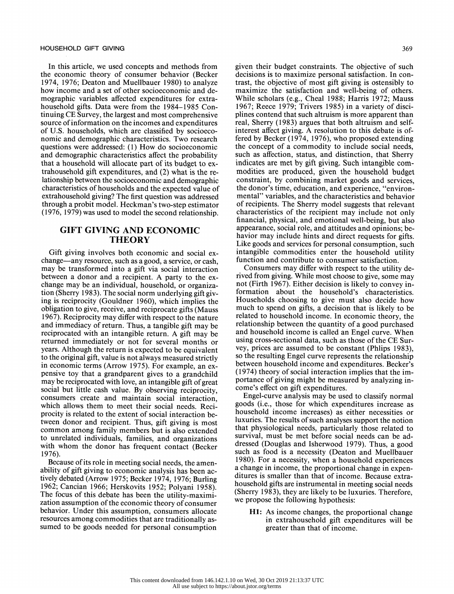In this article, we used concepts and methods from the economic theory of consumer behavior (Becker 1974, 1976; Deaton and Muellbauer 1980) to analyze how income and a set of other socioeconomic and de mographic variables affected expenditures for extra household gifts. Data were from the 1984-1985 Con tinuing CE Survey, the largest and most comprehensive source of information on the incomes and expenditures of U.S. households, which are classified by socioeco nomic and demographic characteristics. Two research questions were addressed: (1) How do socioeconomic and demographic characteristics affect the probability that a household will allocate part of its budget to ex trahousehold gift expenditures, and (2) what is the re lationship between the socioeconomic and demographic characteristics of households and the expected value of extrahousehold giving? The first question was addressed through a probit model. Heckman's two-step estimator (1976, 1979) was used to model the second relationship.

# GIFT GIVING AND ECONOMIC THEORY

 Gift giving involves both economic and social ex change-any resource, such as a good, a service, or cash, may be transformed into a gift via social interaction between a donor and a recipient. A party to the ex change may be an individual, household, or organiza tion (Sherry 1983). The social norm underlying gift giv ing is reciprocity (Gouldner 1960), which implies the obligation to give, receive, and reciprocate gifts (Mauss 1967). Reciprocity may differ with respect to the nature and immediacy of return. Thus, a tangible gift may be reciprocated with an intangible return. A gift may be returned immediately or not for several months or years. Although the return is expected to be equivalent to the original gift, value is not always measured strictly in economic terms (Arrow 1975). For example, an ex pensive toy that a grandparent gives to a grandchild may be reciprocated with love, an intangible gift of great social but little cash value. By observing reciprocity, consumers create and maintain social interaction, which allows them to meet their social needs. Reci procity is related to the extent of social interaction be tween donor and recipient. Thus, gift giving is most common among family members but is also extended to unrelated individuals, families, and organizations with whom the donor has frequent contact (Becker 1976).

 Because of its role in meeting social needs, the amen ability of gift giving to economic analysis has been ac tively debated (Arrow 1975; Becker 1974, 1976; Burling 1962; Cancian 1966; Herskovits 1952; Polyani 1958). The focus of this debate has been the utility-maximi zation assumption of the economic theory of consumer behavior. Under this assumption, consumers allocate resources among commodities that are traditionally as sumed to be goods needed for personal consumption

 given their budget constraints. The objective of such decisions is to maximize personal satisfaction. In con trast, the objective of most gift giving is ostensibly to maximize the satisfaction and well-being of others. While scholars (e.g., Cheal 1988; Harris 1972; Mauss 1967; Reece 1979; Trivers 1985) in a variety of disci plines contend that such altruism is more apparent than real, Sherry (1983) argues that both altruism and self interest affect giving. A resolution to this debate is of fered by Becker (1974, 1976), who proposed extending the concept of a commodity to include social needs, such as affection, status, and distinction, that Sherry indicates are met by gift giving. Such intangible com modities are produced, given the household budget constraint, by combining market goods and services, the donor's time, education, and experience, "environ mental" variables, and the characteristics and behavior of recipients. The Sherry model suggests that relevant characteristics of the recipient may include not only financial, physical, and emotional well-being, but also appearance, social role, and attitudes and opinions; be havior may include hints and direct requests for gifts. Like goods and services for personal consumption, such intangible commodities enter the household utility function and contribute to consumer satisfaction.

 Consumers may differ with respect to the utility de rived from giving. While most choose to give, some may not (Firth 1967). Either decision is likely to convey in formation about the household's characteristics. Households choosing to give must also decide how much to spend on gifts, a decision that is likely to be related to household income. In economic theory, the relationship between the quantity of a good purchased and household income is called an Engel curve. When using cross-sectional data, such as those of the CE Sur vey, prices are assumed to be constant (Phlips 1983), so the resulting Engel curve represents the relationship between household income and expenditures. Becker's (1974) theory of social interaction implies that the im portance of giving might be measured by analyzing in come's effect on gift expenditures.

 Engel-curve analysis may be used to classify normal goods (i.e., those for which expenditures increase as household income increases) as either necessities or luxuries. The results of such analyses support the notion that physiological needs, particularly those related to survival, must be met before social needs can be ad dressed (Douglas and Isherwood 1979). Thus, a good such as food is a necessity (Deaton and Muellbauer 1980). For a necessity, when a household experiences a change in income, the proportional change in expen ditures is smaller than that of income. Because extra household gifts are instrumental in meeting social needs (Sherry 1983), they are likely to be luxuries. Therefore, we propose the following hypothesis:

 Hi: As income changes, the proportional change in extrahousehold gift expenditures will be greater than that of income.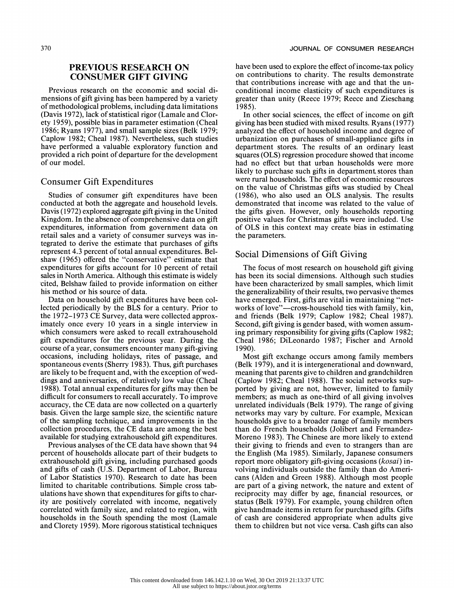# PREVIOUS RESEARCH ON CONSUMER GIFT GIVING

 Previous research on the economic and social di mensions of gift giving has been hampered by a variety of methodological problems, including data limitations (Davis 1972), lack of statistical rigor (Lamale and Clor ety 1959), possible bias in parameter estimation (Cheal 1986; Ryans 1977), and small sample sizes (Belk 1979; Caplow 1982; Cheal 1987). Nevertheless, such studies have performed a valuable exploratory function and provided a rich point of departure for the development of our model.

# Consumer Gift Expenditures

 Studies of consumer gift expenditures have been conducted at both the aggregate and household levels. Davis (1972) explored aggregate gift giving in the United Kingdom. In the absence of comprehensive data on gift expenditures, information from government data on retail sales and a variety of consumer surveys was in tegrated to derive the estimate that purchases of gifts represent 4.3 percent of total annual expenditures. Bel shaw (1965) offered the "conservative" estimate that expenditures for gifts account for 10 percent of retail sales in North America. Although this estimate is widely 'cited, Belshaw failed to provide information on either his method or his source of data.

 Data on household gift expenditures have been col lected periodically by the BLS for a century. Prior to the 1972-1973 CE Survey, data were collected approx imately once every 10 years in a single interview in which consumers were asked to recall extrahousehold gift expenditures for the previous year. During the course of a year, consumers encounter many gift-giving occasions, including holidays, rites of passage, and spontaneous events (Sherry 1983). Thus, gift purchases are likely to be frequent and, with the exception of wed dings and anniversaries, of relatively low value (Cheal 1988). Total annual expenditures for gifts may then be difficult for consumers to recall accurately. To improve accuracy, the CE data are now collected on a quarterly basis. Given the large sample size, the scientific nature of the sampling technique, and improvements in the collection procedures, the CE data are among the best available for studying extrahousehold gift expenditures.

 Previous analyses of the CE data have shown that 94 percent of households allocate part of their budgets to extrahousehold gift giving, including purchased goods and gifts of cash (U.S. Department of Labor, Bureau of Labor Statistics 1970). Research to date has been limited to charitable contributions. Simple cross tab ulations have shown that expenditures for gifts to char ity are positively correlated with income, negatively correlated with family size, and related to region, with households in the South spending the most (Lamale and Clorety 1959). More rigorous statistical techniques  have been used to explore the effect of income-tax policy on contributions to charity. The results demonstrate that contributions increase with age and that the un conditional income elasticity of such expenditures is greater than unity (Reece 1979; Reece and Zieschang 1985).

 In other social sciences, the effect of income on gift giving has been studied with mixed results. Ryans (1977) analyzed the effect of household income and degree of urbanization on purchases of small-appliance gifts in department stores. The results of an ordinary least squares (OLS) regression procedure showed that income had no effect but that urban households were more likely to purchase such gifts in department, stores than were rural households. The effect of economic resources on the value of Christmas gifts was studied by Cheal (1986), who also used an OLS analysis. The results demonstrated that income was related to the value of the gifts given. However, only households reporting positive values for Christmas gifts were included. Use of OLS in this context may create bias in estimating the parameters.

# Social Dimensions of Gift Giving

 The focus of most research on household gift giving has been its social dimensions. Although such studies have been characterized by small samples, which limit the generalizability of their results, two pervasive themes have emerged. First, gifts are vital in maintaining "net works of love"-cross-household ties with family, kin, and friends (Belk 1979; Caplow 1982; Cheal 1987). Second, gift giving is gender based, with women assum ing primary responsibility for giving gifts (Caplow 1982; Cheal 1986; DiLeonardo 1987; Fischer and Arnold 1990).

 Most gift exchange occurs among family members (Belk 1979), and it is intergenerational and downward, meaning that parents give to children and grandchildren (Caplow 1982; Cheal 1988). The social networks sup ported by giving are not, however, limited to family members; as much as one-third of all giving involves unrelated individuals (Belk 1979). The range of giving networks may vary by culture. For example, Mexican households give to a broader range of family members than do French households (Jolibert and Fernandez- Moreno 1983). The Chinese are more likely to extend their giving to friends and even to strangers than are the English (Ma 1985). Similarly, Japanese consumers report more obligatory gift-giving occasions (*kosai*) in volving individuals outside the family than do Ameri cans (Alden and Green 1988). Although most people are part of a giving network, the nature and extent of reciprocity may differ by age, financial resources, or status (Belk 1979). For example, young children often give handmade items in return for purchased gifts. Gifts of cash are considered appropriate when adults give them to children but not vice versa. Cash gifts can also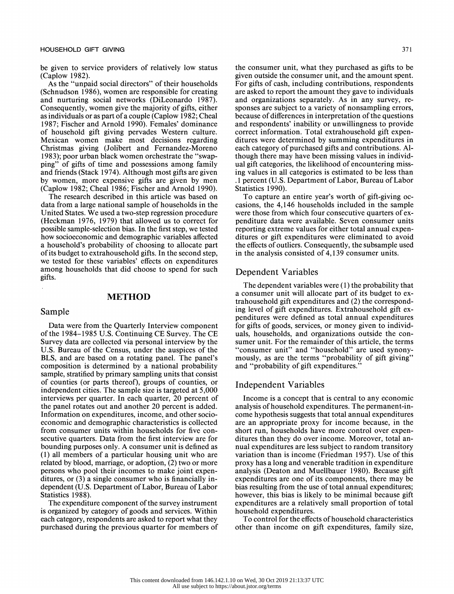be given to service providers of relatively low status (Caplow 1982).

 As the "unpaid social directors" of their households (Schnudson 1986), women are responsible for creating and nurturing social networks (DiLeonardo 1987). Consequently, women give the majority of gifts, either as individuals or as part of a couple (Caplow 1982; Cheal 1987; Fischer and Arnold 1990). Females' dominance of household gift giving pervades Western culture. Mexican women make most decisions regarding Christmas giving (Jolibert and Fernandez-Moreno 1983); poor urban black women orchestrate the "swap ping" of gifts of time and possessions among family and friends (Stack 1974). Although most gifts are given by women, more expensive gifts are given by men (Caplow 1982; Cheal 1986; Fischer and Arnold 1990).

 The research described in this article was based on data from a large national sample of households in the United States. We used a two-step regression procedure (Heckman 1976, 1979) that allowed us to correct for possible sample-selection bias. In the first step, we tested how socioeconomic and demographic variables affected a household's probability of choosing to allocate part of its budget to extrahousehold gifts. In the second step, we tested for these variables' effects on expenditures among households that did choose to spend for such gifts.

#### METHOD

## Sample

 Data were from the Quarterly Interview component of the 1984-1985 U.S. Continuing CE Survey. The CE Survey data are collected via personal interview by the U.S. Bureau of the Census, under the auspices of the BLS, and are based on a rotating panel. The panel's composition is determined by a national probability sample, stratified by primary sampling units that consist of counties (or parts thereof), groups of counties, or independent cities. The sample size is targeted at 5,000 interviews per quarter. In each quarter, 20 percent of the panel rotates out and another 20 percent is added. Information on expenditures, income, and other socio economic and demographic characteristics is collected from consumer units within households for five con secutive quarters. Data from the first interview are for bounding purposes only. A consumer unit is defined as (1) all members of a particular housing unit who are related by blood, marriage, or adoption, (2) two or more persons who pool their incomes to make joint expen ditures, or (3) a single consumer who is financially in dependent (U.S. Department of Labor, Bureau of Labor Statistics 1988).

 The expenditure component of the survey instrument is organized by category of goods and services. Within each category, respondents are asked to report what they purchased during the previous quarter for members of

 the consumer unit, what they purchased as gifts to be given outside the consumer unit, and the amount spent. For gifts of cash, including contributions, respondents are asked to report the amount they gave to individuals and organizations separately. As in any survey, re sponses are subject to a variety of nonsampling errors, because of differences in interpretation of the questions and respondents' inability or unwillingness to provide correct information. Total extrahousehold gift expen ditures were determined by summing expenditures in each category of purchased gifts and contributions. Al though there may have been missing values in individ ual gift categories, the likelihood of encountering miss ing values in all categories is estimated to be less than .1 percent (U.S. Department of Labor, Bureau of Labor Statistics 1990).

 To capture an entire year's worth of gift-giving oc casions, the 4,146 households included in the sample were those from which four consecutive quarters of ex penditure data were available. Seven consumer units reporting extreme values for either total annual expen ditures or gift expenditures were eliminated to avoid the effects of outliers. Consequently, the subsample used in the analysis consisted of 4,139 consumer units.

## Dependent Variables

 The dependent variables were (1) the probability that a consumer unit will allocate part of its budget to ex trahousehold gift expenditures and (2) the correspond ing level of gift expenditures. Extrahousehold gift ex penditures were defined as total annual expenditures for gifts of goods, services, or money given to individ uals, households, and organizations outside the con sumer unit. For the remainder of this article, the terms "consumer unit" and "household" are used synony mously, as are the terms "probability of gift giving" and "probability of gift expenditures."

#### Independent Variables

 Income is a concept that is central to any economic analysis of household expenditures. The permanent-in come hypothesis suggests that total annual expenditures are an appropriate proxy for income because, in the short run, households have more control over expen ditures than they do over income. Moreover, total an nual expenditures are less subject to random transitory variation than is income (Friedman 1957). Use of this proxy has a long and venerable tradition in expenditure analysis (Deaton and Muellbauer 1980). Because gift expenditures are one of its components, there may be bias resulting from the use of total annual expenditures; however, this bias is likely to be minimal because gift expenditures are a relatively small proportion of total household expenditures.

 To control for the effects of household characteristics other than income on gift expenditures, family size,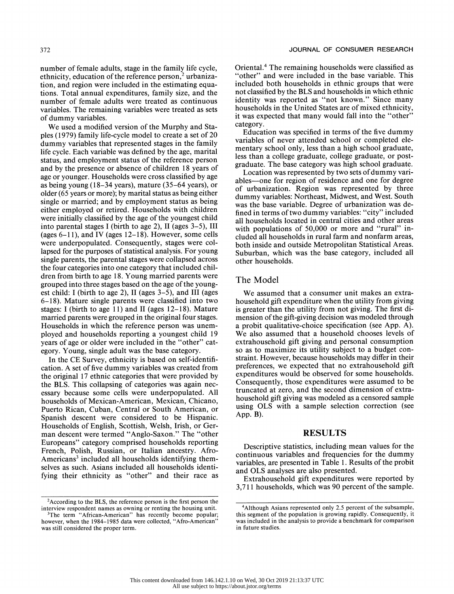number of female adults, stage in the family life cycle, ethnicity, education of the reference person,<sup>2</sup> urbaniza tion, and region were included in the estimating equa tions. Total annual expenditures, family size, and the number of female adults were treated as continuous variables. The remaining variables were treated as sets of dummy variables.

 We used a modified version of the Murphy and Sta ples (1979) family life-cycle model to create a set of 20 dummy variables that represented stages in the family life cycle. Each variable was defined by the age, marital status, and employment status of the reference person and by the presence or absence of children 18 years of age or younger. Households were cross classified by age as being young (18-34 years), mature (35-64 years), or older (65 years or more); by marital status as being either single or married; and by employment status as being either employed or retired. Households with children were initially classified by the age of the youngest child into parental stages I (birth to age 2), II (ages 3-5), III (ages  $6-11$ ), and IV (ages  $12-18$ ). However, some cells were underpopulated. Consequently, stages were col lapsed for the purposes of statistical analysis. For young single parents, the parental stages were collapsed across the four categories into one category that included chil dren from birth to age 18. Young married parents were grouped into three stages based on the age of the young est child: I (birth to age 2), II (ages 3-5), and III (ages 6-18). Mature single parents were classified into two stages: I (birth to age 11) and II (ages  $12-18$ ). Mature married parents were grouped in the original four stages. Households in which the reference person was unem ployed and households reporting a youngest child 19 years of age or older were included in the "other" cat egory. Young, single adult was the base category.

 In the CE Survey, ethnicity is based on self-identifi cation. A set of five dummy variables was created from the original 17 ethnic categories that were provided by the BLS. This collapsing of categories was again nec essary because some cells were underpopulated. All households of Mexican-American, Mexican, Chicano, Puerto Rican, Cuban, Central or South American, or Spanish descent were considered to be Hispanic. Households of English, Scottish, Welsh, Irish, or Ger man descent were termed "Anglo-Saxon." The "other Europeans" category comprised households reporting French, Polish, Russian, or Italian ancestry. Afro- Americans<sup>3</sup> included all households identifying them selves as such. Asians included all households identi fying their ethnicity as "other" and their race as

 Oriental.4 The remaining households were classified as "other" and were included in the base variable. This included both households in ethnic groups that were not classified by the BLS and households in which ethnic identity was reported as "not known." Since many households in the United States are of mixed ethnicity, it was expected that many would fall into the "other" category.

 Education was specified in terms of the five dummy variables of never attended school or completed ele mentary school only, less than a high school graduate, less than a college graduate, college graduate, or post graduate. The base category was high school graduate.

 Location was represented by two sets of dummy vari ables-one for region of residence and one for degree of urbanization. Region was represented by three dummy variables: Northeast, Midwest, and West. South was the base variable. Degree of urbanization was de fined in terms of two dummy variables: "city" included all households located in central cities and other areas with populations of 50,000 or more and "rural" in cluded all households in rural farm and nonfarm areas, both inside and outside Metropolitan Statistical Areas. Suburban, which was the base category, included all other households.

#### The Model

 We assumed that a consumer unit makes an extra household gift expenditure when the utility from giving is greater than the utility from not giving. The first di mension of the gift-giving decision was modeled through a probit qualitative-choice specification (see App. A). We also assumed that a household chooses levels of extrahousehold gift giving and personal consumption so as to maximize its utility subject to a budget con straint. However, because households may differ in their preferences, we expected that no extrahousehold gift expenditures would be observed for some households. Consequently, those expenditures were assumed to be truncated at zero, and the second dimension of extra household gift giving was modeled as a censored sample using OLS with a sample selection correction (see App. B).

# RESULTS

 Descriptive statistics, including mean values for the continuous variables and frequencies for the dummy variables, are presented in Table 1. Results of the probit and OLS analyses are also presented.

 Extrahousehold gift expenditures were reported by 3,711 households, which was 90 percent of the sample.

<sup>&</sup>lt;sup>2</sup> According to the BLS, the reference person is the first person the interview respondent names as owning or renting the housing unit.

<sup>&</sup>lt;sup>3</sup>The term "African-American" has recently become popular; however, when the 1984-1985 data were collected, "Afro-American" was still considered the proper term.

 <sup>4</sup>Although Asians represented only 2.5 percent of the subsample, this segment of the population is growing rapidly. Consequently, it was included in the analysis to provide a benchmark for comparison in future studies.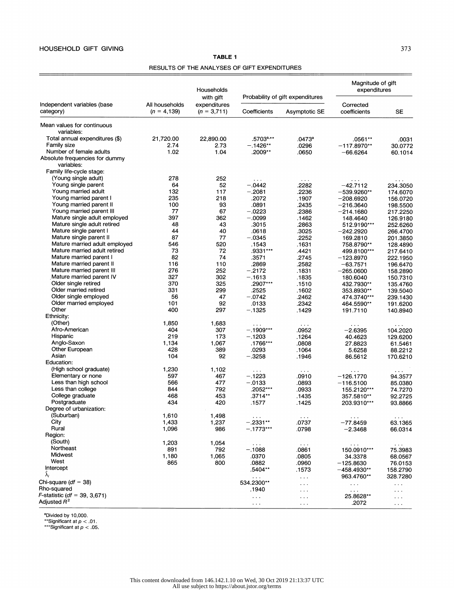RESULTS OF THE ANALYSES OF GIFT EXPENDITURES

| Independent variables (base<br>category)     | All households<br>$(n = 4, 139)$ | Households<br>with gift<br>expenditures<br>$(n = 3,711)$ |                                |                                                   | Magnitude of gift<br>expenditures            |                                |
|----------------------------------------------|----------------------------------|----------------------------------------------------------|--------------------------------|---------------------------------------------------|----------------------------------------------|--------------------------------|
|                                              |                                  |                                                          | Coefficients                   | Probability of gift expenditures<br>Asymptotic SE | Corrected<br>coefficients                    | <b>SE</b>                      |
| Mean values for continuous<br>variables:     |                                  |                                                          |                                |                                                   |                                              |                                |
| Total annual expenditures (\$)               | 21,720.00                        | 22,890.00                                                | .5703ª <sup>,</sup> **         | .0473a                                            | $.0561**$                                    | .0031                          |
| Family size                                  | 2.74                             | 2.73                                                     | $-.1426**$                     | .0296                                             | $-117.8970**$                                | 30.0772                        |
| Number of female adults                      | 1.02                             | 1.04                                                     | .2009**                        | .0650                                             | $-66.6264$                                   | 60.1014                        |
| Absolute frequencies for dummy<br>variables: |                                  |                                                          |                                |                                                   |                                              |                                |
| Family life-cycle stage:                     |                                  |                                                          |                                |                                                   |                                              |                                |
| (Young single adult)                         | 278                              | 252                                                      | $\sim$ $\sim$ $\sim$           | $\sim$ $\sim$ $\sim$                              | $\sim$ $\sim$ $\sim$                         | $\sim$ $\sim$ $\sim$           |
| Young single parent                          | 64                               | 52                                                       | $-.0442$                       | .2282                                             | $-42.7112$                                   | 234.3050                       |
| Young married adult                          | 132                              | 117                                                      | $-.2081$                       | .2236                                             | $-539.9260**$                                | 174.6070                       |
| Young married parent I                       | 235                              | 218                                                      | .2072                          | .1907                                             | $-208.6920$                                  | 156.0720                       |
| Young married parent II                      | 100                              | 93                                                       | .0891                          | .2435                                             | $-216.3640$                                  | 198.5500                       |
| Young married parent III                     | 77                               | 67                                                       | $-.0223$                       | .2386                                             | $-214.1680$                                  | 217.2250                       |
| Mature single adult employed                 | 397                              | 362                                                      | $-.0099$                       | .1462                                             | 148.4640                                     | 126.9180                       |
| Mature single adult retired                  | 48                               | 43                                                       | .3015                          | .2863                                             | 512.9190***                                  | 252.6260                       |
| Mature single parent I                       | 44                               | 40                                                       | .0618                          | .3025                                             | $-242.2920$                                  | 266.4700                       |
| Mature single parent II                      | 87                               | 77                                                       | $-.0345$                       | .2252                                             | 169.2810                                     | 201.3850                       |
| Mature married adult employed                | 546                              | 520                                                      | .1543                          | .1631                                             | 758.8790**                                   | 128.4890                       |
| Mature married adult retired                 | 73                               | 72                                                       | .9331***                       | .4421                                             | 499.8100***                                  | 217.6410                       |
| Mature married parent I                      | 82                               | 74                                                       | .3571                          | .2745                                             | $-123.8970$                                  | 222.1950                       |
| Mature married parent II                     | 116                              | 110                                                      | .2869                          | .2582                                             | $-63.7571$                                   | 196.6470                       |
| Mature married parent III                    | 276                              | 252                                                      | $-.2172$                       | .1831                                             | $-265.0600$                                  | 158.2890                       |
| Mature married parent IV                     | 327                              | 302                                                      | $-.1613$                       | .1835                                             | 180.6040                                     | 150.7310                       |
| Older single retired                         | 370                              | 325                                                      | .2907***                       | .1510                                             | 432.7930**                                   | 135.4760                       |
| Older married retired                        | 331                              | 299                                                      | .2525                          | .1602                                             | 353.8930**                                   | 139.5040                       |
| Older single employed                        | 56                               | 47                                                       | $-.0742$                       | .2462                                             | 474.3740***                                  | 239.1430                       |
| Older married employed                       | 101                              | 92                                                       | .0133                          | .2342                                             | 464.5590**                                   | 191.6200                       |
| Other                                        | 400                              | 297                                                      | $-.1325$                       | .1429                                             | 191.7110                                     | 140.8940                       |
| Ethnicity:                                   |                                  |                                                          |                                |                                                   |                                              |                                |
| (Other)                                      | 1,850                            | 1,683                                                    | $\sim$ $\sim$ $\sim$           | $\cdots$                                          | $\cdot$ $\cdot$ $\cdot$                      | $\cdot$                        |
| Afro-American                                | 404                              | 307                                                      | $-1909***$                     | .0952                                             | $-2.6395$                                    | 104.2020                       |
| Hispanic                                     | 219                              | 173                                                      | $-.1203$                       | .1264                                             | 40.4623                                      | 129.6200                       |
| Anglo-Saxon                                  | 1,134                            | 1,067                                                    | .1766***                       | .0808                                             | 27.8823                                      | 61.5461                        |
| Other European                               | 428                              | 389                                                      | .0293                          | .1064                                             | 5.6258                                       | 88.2212                        |
| Asian                                        | 104                              | 92                                                       | $-.3258$                       | .1946                                             | 86.5612                                      | 170.6210                       |
| Education:                                   |                                  |                                                          |                                |                                                   |                                              |                                |
| (High school graduate)                       | 1,230                            | 1,102                                                    | $\sim 100$                     | $\sim$ $\sim$ $\sim$                              | $\sim$ $\sim$ $\sim$                         | $\alpha$ , $\alpha$ , $\alpha$ |
| Elementary or none                           | 597                              | 467                                                      | $-.1223$                       | .0910                                             | $-126.1770$                                  | 94.3577                        |
| Less than high school                        | 566                              | 477                                                      | $-.0133$                       | .0893                                             | $-116.5100$                                  | 85.0380                        |
| Less than college                            | 844                              | 792                                                      | .2052***                       | .0933                                             | 155.2120***                                  | 74.7270                        |
| College graduate                             | 468                              | 453                                                      | .3714**                        | .1435                                             | 357.5810**                                   | 92.2725                        |
| Postgraduate                                 | 434                              | 420                                                      | .1577                          | .1425                                             | 203.9310***                                  | 93.8866                        |
| Degree of urbanization:                      |                                  |                                                          |                                |                                                   |                                              |                                |
| (Suburban)                                   | 1,610                            | 1,498                                                    | $\alpha$ , $\alpha$ , $\alpha$ | $\sim$ $\sim$ $\sim$                              | $\sim$ $\sim$ $\sim$                         | $\sim$ $\sim$ $\sim$           |
| City                                         | 1,433                            | 1,237                                                    | $-.2331**$                     | .0737                                             | -77.8459                                     | 63.1365                        |
| Rural                                        | 1,096                            | 986                                                      | $-.1773***$                    | .0798                                             | $-2.3468$                                    | 66.0314                        |
| Region:                                      |                                  |                                                          |                                |                                                   |                                              |                                |
| (South)                                      | 1,203                            | 1,054                                                    | $\sim$ $\sim$                  | $\sim$ $\sim$                                     | $\cdots$                                     |                                |
| Northeast                                    | 891                              | 792                                                      | -.1088                         | .0861                                             | 150.0910***                                  | 75.3983                        |
| Midwest                                      | 1,180                            | 1,065                                                    | .0370                          | .0805                                             | 34.3378                                      | 68.0567                        |
| West                                         | 865                              | 800                                                      | .0882                          | .0960                                             | $-125.8630$                                  | 76.0153                        |
| Intercept                                    |                                  |                                                          | .5404**                        | .1573                                             | $-458.4930**$                                | 158.2790                       |
| $\lambda_i$                                  |                                  |                                                          |                                | $\sim$ $\sim$ $\sim$                              | 963.4760**                                   | 328.7280                       |
| Chi-square ( <i>df</i> = 38)                 |                                  |                                                          | 534.2300**                     | $\sim$ $\sim$                                     |                                              | $\sim$ $\sim$ $\sim$           |
| Rho-squared                                  |                                  |                                                          | .1940                          | $\cdots$                                          | $\sim$ $\sim$ $\sim$<br>$\sim$ $\sim$ $\sim$ |                                |
| F-statistic (df = 39, 3,671)                 |                                  |                                                          | $\cdots$                       | $\cdots$                                          | 25.8628**                                    |                                |
| Adjusted R <sup>2</sup>                      |                                  |                                                          | $\sim$ $\sim$ $\sim$           | $\cdots$                                          | .2072                                        | $\sim$ $\sim$ $\sim$           |
|                                              |                                  |                                                          |                                |                                                   |                                              |                                |

 $^{\circ}$ Divided by 10,000.<br>\*\*Significant at  $\rho < .01$ 

\*\*\*Significant at  $\rho < .05.$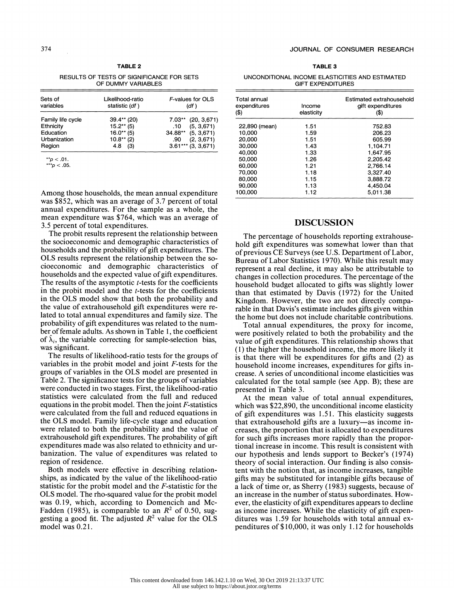RESULTS OF TESTS OF SIGNIFICANCE FOR SETS OF DUMMY VARIABLES

| Sets of<br>variables | Likelihood-ratio<br>statistic (df) | F-values for OLS<br>(df) |  |  |
|----------------------|------------------------------------|--------------------------|--|--|
| Family life cycle    | 39.4** (20)                        | $7.03**$ (20, 3,671)     |  |  |
| Ethnicity            | $15.2**$ (5)                       | (5, 3, 671)<br>.10       |  |  |
| Education            | $16.0**$ (5)                       | $34.88**$ (5, 3,671)     |  |  |
| Urbanization         | $10.8**$ (2)                       | (2, 3, 671)<br>.90       |  |  |
| Region               | 4.8<br>(3)                         | $3.61***$ (3, 3, 671)    |  |  |

\*\*p <.01. \*\*\*p <.05.

 Among those households, the mean annual expenditure was \$852, which was an average of 3.7 percent of total annual expenditures. For the sample as a whole, the mean expenditure was \$764, which was an average of 3.5 percent of total expenditures.

 The probit results represent the relationship between the socioeconomic and demographic characteristics of households and the probability of gift expenditures. The OLS results represent the relationship between the so cioeconomic and demographic characteristics of households and the expected value of gift expenditures. The results of the asymptotic  $t$ -tests for the coefficients in the probit model and the *t*-tests for the coefficients in the OLS model show that both the probability and the value of extrahousehold gift expenditures were re lated to total annual expenditures and family size. The probability of gift expenditures was related to the num ber of female adults. As shown in Table 1, the coefficient of  $\hat{\lambda}_i$ , the variable correcting for sample-selection bias, was significant.

 The results of likelihood-ratio tests for the groups of variables in the probit model and joint F-tests for the groups of variables in the OLS model are presented in Table 2. The significance tests for the groups of variables were conducted in two stages. First, the likelihood-ratio statistics were calculated from the full and reduced equations in the probit model. Then the joint  $F$ -statistics were calculated from the full and reduced equations in the OLS model. Family life-cycle stage and education were related to both the probability and the value of extrahousehold gift expenditures. The probability of gift expenditures made was also related to ethnicity and ur banization. The value of expenditures was related to region of residence.

 Both models were effective in describing relation ships, as indicated by the value of the likelihood-ratio statistic for the probit model and the F-statistic for the OLS model. The rho-squared value for the probit model was 0.19, which, according to Domencich and Mc- Fadden (1985), is comparable to an  $R^2$  of 0.50, suggesting a good fit. The adjusted  $R^2$  value for the OLS model was 0.21.

| UNCONDITIONAL INCOME ELASTICITIES AND ESTIMATED |  |  |
|-------------------------------------------------|--|--|
| <b>GIFT EXPENDITURES</b>                        |  |  |

| Total annual<br>expenditures<br>(\$) | Income<br>elasticity | Estimated extrahousehold<br>gift expenditures<br>(\$) |
|--------------------------------------|----------------------|-------------------------------------------------------|
| 22,890 (mean)                        | 1.51                 | 752.83                                                |
| 10.000                               | 1.59                 | 206.23                                                |
| 20.000                               | 1.51                 | 605.99                                                |
| 30,000                               | 1.43                 | 1.104.71                                              |
| 40,000                               | 1.33                 | 1,647.95                                              |
| 50.000                               | 1.26                 | 2.205.42                                              |
| 60.000                               | 1.21                 | 2.766.14                                              |
| 70.000                               | 1.18                 | 3.327.40                                              |
| 80,000                               | 1.15                 | 3,888.72                                              |
| 90.000                               | 1.13                 | 4.450.04                                              |
| 100.000                              | 1.12                 | 5.011.38                                              |

# DISCUSSION

 The percentage of households reporting extrahouse hold gift expenditures was somewhat lower than that of previous CE Surveys (see U.S. Department of Labor, Bureau of Labor Statistics 1970). While this result may represent a real decline, it may also be attributable to changes in collection procedures. The percentage of the household budget allocated to gifts was slightly lower than that estimated by Davis (1972) for the United Kingdom. However, the two are not directly compa rable in that Davis's estimate includes gifts given within the home but does not include charitable contributions.

 Total annual expenditures, the proxy for income, were positively related to both the probability and the value of gift expenditures. This relationship shows that (1) the higher the household income, the more likely it is that there will be expenditures for gifts and (2) as household income increases, expenditures for gifts in crease. A series of unconditional income elasticities was calculated for the total sample (see App. B); these are presented in Table 3.

 At the mean value of total annual expenditures, which was \$22,890, the unconditional income elasticity of gift expenditures was 1.51. This elasticity suggests that extrahousehold gifts are a luxury-as income in creases, the proportion that is allocated to expenditures for such gifts increases more rapidly than the propor tional increase in income. This result is consistent with our hypothesis and lends support to Becker's (1974) theory of social interaction. Our finding is also consis tent with the notion that, as income increases, tangible gifts may be substituted for intangible gifts because of a lack of time or, as Sherry (1983) suggests, because of an increase in the number of status subordinates. How ever, the elasticity of gift expenditures appears to decline as income increases. While the elasticity of gift expen ditures was 1.59 for households with total annual ex penditures of \$ 10,000, it was only 1.12 for households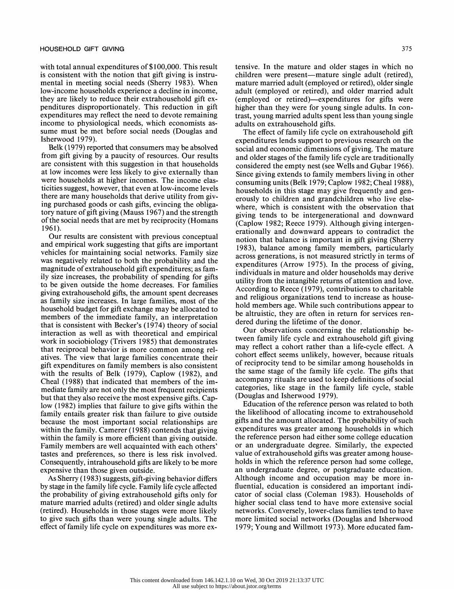with total annual expenditures of \$100,000. This result is consistent with the notion that gift giving is instru mental in meeting social needs (Sherry 1983). When low-income households experience a decline in income, they are likely to reduce their extrahousehold gift ex penditures disproportionately. This reduction in gift expenditures may reflect the need to devote remaining income to physiological needs, which economists as sume must be met before social needs (Douglas and Isherwood 1979).

 Belk (1979) reported that consumers may be absolved from gift giving by a paucity of resources. Our results are consistent with this suggestion in that households at low incomes were less likely to give externally than were households at higher incomes. The income elas ticities suggest, however, that even at low-income levels there are many households that derive utility from giv ing purchased goods or cash gifts, evincing the obliga tory nature of gift giving (Mauss 1967) and the strength of the social needs that are met by reciprocity (Homans 1961).

 Our results are consistent with previous conceptual and empirical work suggesting that gifts are important vehicles for maintaining social networks. Family size was negatively related to both the probability and the magnitude of extrahousehold gift expenditures; as fam ily size increases, the probability of spending for gifts to be given outside the home decreases. For families giving extrahousehold gifts, the amount spent decreases as family size increases. In large families, most of the household budget for gift exchange may be allocated to members of the immediate family, an interpretation that is consistent with Becker's (1974) theory of social interaction as well as with theoretical and empirical work in sociobiology (Trivers 1985) that demonstrates that reciprocal behavior is more common among rel atives. The view that large families concentrate their gift expenditures on family members is also consistent with the results of Belk (1979), Caplow (1982), and Cheal (1988) that indicated that members of the im mediate family are not only the most frequent recipients but that they also receive the most expensive gifts. Cap low (1982) implies that failure to give gifts within the family entails greater risk than failure to give outside because the most important social relationships are within the family. Camerer (1988) contends that giving within the family is more efficient than giving outside. Family members are well acquainted with each others' tastes and preferences, so there is less risk involved. Consequently, intrahousehold gifts are likely to be more expensive than those given outside.

 As Sherry (1983) suggests, gift-giving behavior differs by stage in the family life cycle. Family life cycle affected the probability of giving extrahousehold gifts only for mature married adults (retired) and older single adults (retired). Households in those stages were more likely to give such gifts than were young single adults. The effect of family life cycle on expenditures was more ex tensive. In the mature and older stages in which no children were present—mature single adult (retired), mature married adult (employed or retired), older single adult (employed or retired), and older married adult (employed or retired)-expenditures for gifts were higher than they were for young single adults. In con trast, young married adults spent less than young single adults on extrahousehold gifts.

 The effect of family life cycle on extrahousehold gift expenditures lends support to previous research on the social and economic dimensions of giving. The mature and older stages of the family life cycle are traditionally considered the empty nest (see Wells and Gubar 1966). Since giving extends to family members living in other consuming units (Belk 1979; Caplow 1982; Cheal 1988), households in this stage may give frequently and gen erously to children and grandchildren who live else where, which is consistent with the observation that giving tends to be intergenerational and downward (Caplow 1982; Reece 1979). Although giving intergen erationally and downward appears to contradict the notion that balance is important in gift giving (Sherry 1983), balance among family members, particularly across generations, is not measured strictly in terms of expenditures (Arrow 1975). In the process of giving, individuals in mature and older households may derive utility from the intangible returns of attention and love. According to Reece (1979), contributions to charitable and religious organizations tend to increase as house hold members age. While such contributions appear to be altruistic, they are often in return for services ren dered during the lifetime of the donor.

 Our observations concerning the relationship be tween family life cycle and extrahousehold gift giving may reflect a cohort rather than a life-cycle effect. A cohort effect seems unlikely, however, because rituals of reciprocity tend to be similar among households in the same stage of the family life cycle. The gifts that accompany rituals are used to keep definitions of social categories, like stage in the family life cycle, stable (Douglas and Isherwood 1979).

 Education of the reference person was related to both the likelihood of allocating income to extrahousehold gifts and the amount allocated. The probability of such expenditures was greater among households in which the reference person had either some college education or an undergraduate degree. Similarly, the expected value of extrahousehold gifts was greater among house holds in which the reference person had some college, an undergraduate degree, or postgraduate education. Although income and occupation may be more in fluential, education is considered an important indi cator of social class (Coleman 1983). Households of higher social class tend to have more extensive social networks. Conversely, lower-class families tend to have more limited social networks (Douglas and Isherwood 1979; Young and Willmott 1973). More educated fam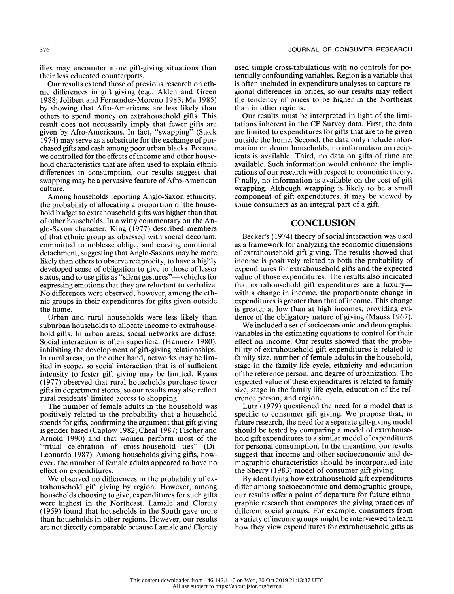ilies may encounter more gift-giving situations than their less educated counterparts.

 Our results extend those of previous research on eth nic differences in gift giving (e.g., Alden and Green 1988; Jolibert and Fernandez-Moreno 1983; Ma 1985) by showing that Afro-Americans are less likely than others to spend money on extrahousehold gifts. This result does not necessarily imply that fewer gifts are given by Afro-Americans. In fact, "swapping" (Stack 1974) may serve as a substitute for the exchange of pur chased gifts and cash among poor urban blacks. Because we controlled for the effects of income and other house hold characteristics that are often used to explain ethnic differences in consumption, our results suggest that swapping may be a pervasive feature of Afro-American culture.

 Among households reporting Anglo-Saxon ethnicity, the probability of allocating a proportion of the house hold budget to extrahousehold gifts was higher than that of other households. In a witty commentary on the An glo-Saxon character, King (1977) described members of that ethnic group as obsessed with social decorum, committed to noblesse oblige, and craving emotional detachment, suggesting that Anglo-Saxons may be more likely than others to observe reciprocity, to have a highly developed sense of obligation to give to those of lesser status, and to use gifts as "silent gestures"—vehicles for expressing emotions that they are reluctant to verbalize. No differences were observed, however, among the eth nic groups in their expenditures for gifts given outside the home.

 Urban and rural households were less likely than suburban households to allocate income to extrahouse hold gifts. In urban areas, social networks are diffuse. Social interaction is often superficial (Hannerz 1980), inhibiting the development of gift-giving relationships. In rural areas, on the other hand, networks may be lim ited in scope, so social interaction that is of sufficient intensity to foster gift giving may be limited. Ryans (1977) observed that rural households purchase fewer gifts in department stores, so our results may also reflect rural residents' limited access to shopping.

 The number of female adults in the household was positively related to the probability that a household spends for gifts, confirming the argument that gift giving is gender based (Caplow 1982; Cheal 1987; Fischer and Arnold 1990) and that women perform most of the "ritual celebration of cross-household ties" (Di- Leonardo 1987). Among households giving gifts, how ever, the number of female adults appeared to have no effect on expenditures.

 We observed no differences in the probability of ex trahousehold gift giving by region. However, among households choosing to give, expenditures for such gifts were highest in the Northeast. Lamale and Clorety (1959) found that households in the South gave more than households in other regions. However, our results are not directly comparable because Lamale and Clorety

 used simple cross-tabulations with no controls for po tentially confounding variables. Region is a variable that is often included in expenditure analyses to capture re gional differences in prices, so our results may reflect the tendency of prices to be higher in the Northeast than in other regions.

 Our results must be interpreted in light of the limi tations inherent in the CE Survey data. First, the data are limited to expenditures for gifts that are to be given outside the home. Second, the data only include infor mation on donor households; no information on recip ients is available. Third, no data on gifts of time are available. Such information would enhance the impli cations of our research with respect to economic theory. Finally, no information is available on the cost of gift wrapping. Although wrapping is likely to be a small component of gift expenditures, it may be viewed by some consumers as an integral part of a gift.

# **CONCLUSION**

 Becker's (1974) theory of social interaction was used as a framework for analyzing the economic dimensions of extrahousehold gift giving. The results showed that income is positively related to both the probability of expenditures for extrahousehold gifts and the expected value of those expenditures. The results also indicated that extrahousehold gift expenditures are a luxury with a change in income, the proportionate change in expenditures is greater than that of income. This change is greater at low than at high incomes, providing evi dence of the obligatory nature of giving (Mauss 1967).

 We included a set of socioeconomic and demographic variables in the estimating equations to control for their effect on income. Our results showed that the proba bility of extrahousehold gift expenditures is related to family size, number of female adults in the household, stage in the family life cycle, ethnicity and education of the reference person, and degree of urbanization. The expected value of these expenditures is related to family size, stage in the family life cycle, education of the ref erence person, and region.

 Lutz (1979) questioned the need for a model that is specific to consumer gift giving. We propose that, in future research, the need for a separate gift-giving model should be tested by comparing a model of extrahouse hold gift expenditures to a similar model of expenditures for personal consumption. In the meantime, our results suggest that income and other socioeconomic and de mographic characteristics should be incorporated into the Sherry (1983) model of consumer gift giving.

 By identifying how extrahousehold gift expenditures differ among socioeconomic and demographic groups, our results offer a point of departure for future ethno graphic research that compares the giving practices of different social groups. For example, consumers from a variety of income groups might be interviewed to learn how they view expenditures for extrahousehold gifts as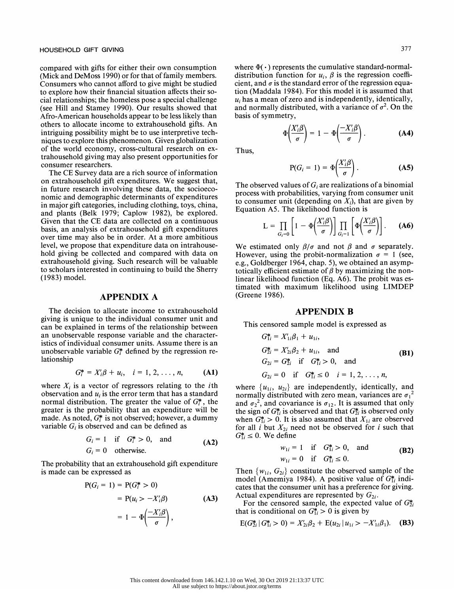compared with gifts for either their own consumption (Mick and DeMoss 1990) or for that of family members. Consumers who cannot afford to give might be studied to explore how their financial situation affects their so cial relationships; the homeless pose a special challenge (see Hill and Stamey 1990). Our results showed that Afro-American households appear to be less likely than others to allocate income to extrahousehold gifts. An intriguing possibility might be to use interpretive tech niques to explore this phenomenon. Given globalization of the world economy, cross-cultural research on ex trahousehold giving may also present opportunities for consumer researchers.

 The CE Survey data are a rich source of information on extrahousehold gift expenditures. We suggest that, in future research involving these data, the socioeco nomic and demographic determinants of expenditures in major gift categories, including clothing, toys, china, and plants (Belk 1979; Caplow 1982), be explored. Given that the CE data are collected on a continuous basis, an analysis of extrahousehold gift expenditures over time may also be in order. At a more ambitious level, we propose that expenditure data on intrahouse hold giving be collected and compared with data on extrahousehold giving. Such research will be valuable to scholars interested in continuing to build the Sherry (1983) model.

#### APPENDIX A

 The decision to allocate income to extrahousehold giving is unique to the individual consumer unit and can be explained in terms of the relationship between an unobservable response variable and the character istics of individual consumer units. Assume there is an unobservable variable  $G_i^*$  defined by the regression relationship

$$
G_i^* = X_i' \beta + u_i, \quad i = 1, 2, ..., n,
$$
 (A1)

where  $X_i$  is a vector of regressors relating to the *i*th observation and  $u_i$  is the error term that has a standard normal distribution. The greater the value of  $G_i^*$ , the greater is the probability that an expenditure will be made. As noted,  $G^*$  is not observed; however, a dummy variable  $G_i$  is observed and can be defined as

$$
G_i = 1 \quad \text{if} \quad G_i^* > 0, \quad \text{and}
$$
  
\n
$$
G_i = 0 \quad \text{otherwise.}
$$
 (A2)

 The probability that an extrahousehold gift expenditure is made can be expressed as

$$
P(G_i = 1) = P(G_i^* > 0)
$$
  
= P(u<sub>i</sub> > -X'<sub>i</sub>\beta) (A3)  
= 1 -  $\Phi\left(\frac{-X'i\beta}{\sigma}\right)$ ,

where  $\Phi(\cdot)$  represents the cumulative standard-normaldistribution function for  $u_i$ ,  $\beta$  is the regression coefficient, and  $\sigma$  is the standard error of the regression equa tion (Maddala 1984). For this model it is assumed that  $u_i$  has a mean of zero and is independently, identically, and normally distributed, with a variance of  $\sigma^2$ . On the basis of symmetry,

$$
\Phi\left(\frac{X_i'\beta}{\sigma}\right) = 1 - \Phi\left(\frac{-X_i'\beta}{\sigma}\right). \tag{A4}
$$

Thus,

$$
P(G_i = 1) = \Phi\left(\frac{X_i'\beta}{\sigma}\right). \tag{A5}
$$

The observed values of  $G_i$  are realizations of a binomial process with probabilities, varying from consumer unit to consumer unit (depending on  $X_i$ ), that are given by Equation A5. The likelihood function is

$$
L = \prod_{G_i=0} \left[ 1 - \Phi\left(\frac{X_i'\beta}{\sigma}\right) \right] \prod_{G_i=1} \left[ \Phi\left(\frac{X_i'\beta}{\sigma}\right) \right]. \tag{A6}
$$

We estimated only  $\beta/\sigma$  and not  $\beta$  and  $\sigma$  separately. However, using the probit-normalization  $\sigma = 1$  (see, e.g., Goldberger 1964, chap. 5), we obtained an asymp totically efficient estimate of  $\beta$  by maximizing the non linear likelihood function (Eq. A6). The probit was es timated with maximum likelihood using LIMDEP (Greene 1986).

## APPENDIX B

This censored sample model is expressed as

$$
G_{1i}^{*} = X'_{1i}\beta_1 + u_{1i},
$$
  
\n
$$
G_{2i}^{*} = X'_{2i}\beta_2 + u_{1i}, \text{ and}
$$
  
\n
$$
G_{2i} = G_{2i}^{*} \text{ if } G_{1i}^{*} > 0, \text{ and}
$$
  
\n
$$
G_{2i} = 0 \text{ if } G_{1i}^{*} \le 0 \text{ } i = 1, 2, ..., n,
$$
\n(B1)

where  $\{u_{1i}, u_{2i}\}$  are independently, identically, and normally distributed with zero mean, variances are  ${\sigma_1}^2$ and  $\sigma_2^2$ , and covariance is  $\sigma_{12}$ . It is assumed that only the sign of  $G_{1i}^*$  is observed and that  $G_{2i}^*$  is observed only when  $G_{1i}^* > 0$ . It is also assumed that  $X_{1i}$  are observed for all *i* but  $X_{2i}$  need not be observed for *i* such that  $G_{1i}^* \leq 0$ . We define

$$
w_{1i} = 1
$$
 if  $G_{1i}^* > 0$ , and  
\n $w_{1i} = 0$  if  $G_{1i}^* \le 0$ . (B2)

Then  $\{w_{1i}, G_{2i}\}$  constitute the observed sample of the model (Amemiya 1984). A positive value of  $G_{1i}^*$  indi cates that the consumer unit has a preference for giving. Actual expenditures are represented by  $G_{2i}$ .

For the censored sample, the expected value of  $G_{2i}^*$ that is conditional on  $G_{1i}^* > 0$  is given by

$$
E(G_{2i}^* | G_{1i}^* > 0) = X'_{2i} \beta_2 + E(u_{2i} | u_{1i} > -X'_{1i} \beta_1).
$$
 (B3)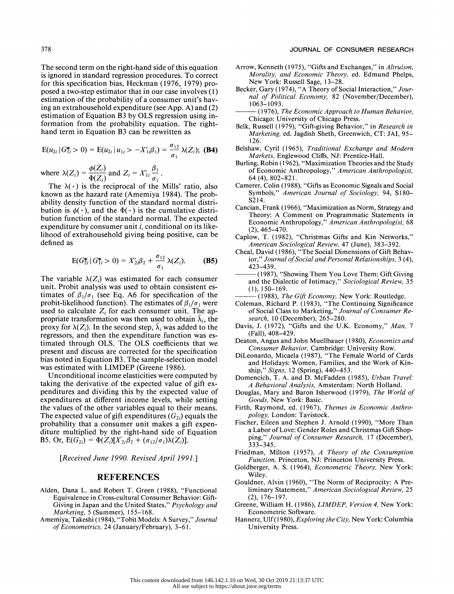The second term on the right-hand side of this equation is ignored in standard regression procedures. To correct for this specification bias, Heckman (1976, 1979) pro posed a two-step estimator that in our case involves (1) estimation of the probability of a consumer unit's hav ing an extrahousehold expenditure (see App. A) and (2) estimation of Equation B3 by OLS regression using in formation from the probability equation. The right hand term in Equation B3 can be rewritten as

$$
E(u_{2i} | G_{1i}^* > 0) = E(u_{2i} | u_{1i} > -X'_{1i} \beta_1) = \frac{\sigma_{12}}{\sigma_1} \lambda(Z_i); \textbf{(B4)}
$$

where  $\lambda(Z_i) = \frac{\varphi(Z_i)}{\Phi(Z_i)}$  and  $Z_i = X'_{1i} \frac{\rho_1}{\sigma_1}$ 

The  $\lambda(\cdot)$  is the reciprocal of the Mills' ratio, also known as the hazard rate (Amemiya 1984). The prob ability density function of the standard normal distri bution is  $\phi(\cdot)$ , and the  $\Phi(\cdot)$  is the cumulative distri bution function of the standard normal. The expected expenditure by consumer unit i, conditional on its like lihood of extrahousehold giving being positive, can be defined as

$$
E(G_{2i}^* | G_{1i}^* > 0) = X'_{2i}\beta_2 + \frac{\sigma_{12}}{\sigma_1} \lambda(Z_i). \tag{B5}
$$

The variable  $\lambda(Z_i)$  was estimated for each consumer unit. Probit analysis was used to obtain consistent es timates of  $\beta_1/\sigma_1$  (see Eq. A6 for specification of the probit-likelihood function). The estimates of  $\beta_1/\sigma_1$  were used to calculate  $Z_i$  for each consumer unit. The appropriate transformation was then used to obtain  $\lambda_i$ , the proxy for  $\lambda(Z_i)$ . In the second step,  $\lambda_i$  was added to the regressors, and then the expenditure function was es timated through OLS. The OLS coefficients that we present and discuss are corrected for the specification bias noted in Equation B3. The sample-selection model was estimated with LIMDEP (Greene 1986).

 Unconditional income elasticities were computed by taking the derivative of the expected value of gift ex penditures and dividing this by the expected value of expenditures at different income levels, while setting the values of the other variables equal to their means. The expected value of gift expenditures  $(G_{2i})$  equals the probability that a consumer unit makes a gift expen diture multiplied by the right-hand side of Equation B5. Or,  $E(G_{2i}) = \Phi(Z_i)[X'_{2i}\beta_2 + (\sigma_{12}/\sigma_1)\lambda(Z_i)].$ 

[Received June 1990. Revised April 1991.]

#### REFERENCES

- Alden, Dana L. and Robert T. Green (1988), "Functional Equivalence in Cross-cultural Consumer Behavior: Gift- Giving in Japan and the United States," Psychology and Marketing, 5 (Summer), 155-168.
- Amemiya, Takeshi (1984), "Tobit Models: A Survey," Journal of Econometrics, 24 (January/February), 3-61.

#### 378 JOURNAL OF CONSUMER RESEARCH

- Arrow, Kenneth (1975), "Gifts and Exchanges," in Altruism, Morality, and Economic Theory, ed. Edmund Phelps, New York: Russell Sage, 13-28.
- Becker, Gary (1974), "A Theory of Social Interaction," Jour nal of Political Economy, 82 (November/December), 1063-1093.
- (1976), The Economic Approach to Human Behavior, Chicago: University of Chicago Press.
- Belk, Russell (1979), "Gift-giving Behavior," in Research in Marketing, ed. Jagdish Sheth, Greenwich, CT: JAI, 95- 126.
- Belshaw, Cyril (1965), Traditional Exchange and Modern Markets, Englewood Cliffs, NJ: Prentice-Hall.
- Burling, Robin (1962), "Maximization Theories and the Study of Economic Anthropology," American Anthropologist, 64 (4), 802-821.
- Camerer, Colin (1988), "Gifts as Economic Signals and Social Symbols," American Journal of Sociology, 94, S180- S214.
- Cancian, Frank (1966), "Maximization as Norm, Strategy and Theory: A Comment on Programmatic Statements in Economic Anthropology," American Anthropologist, 68 (2), 465-470.
- Caplow, T. (1982), "Christmas Gifts and Kin Networks," American Sociological Review, 47 (June), 383-392.
- Cheal, David (1986), "The Social Dimensions of Gift Behav ior," Journal of Social and Personal Relationships, 3 (4), 423-439.
- -(1987), "Showing Them You Love Them: Gift Giving and the Dialectic of Intimacy," Sociological Review, 35 (1), 150-169.
- (1988), The Gift Economy, New York: Routledge.
- Coleman, Richard P. (1983), "The Continuing Significance of Social Class to Marketing," Journal of Consumer Re search, 10 (December), 265-280.
- Davis, J. (1972), "Gifts and the U.K. Economy," Man, 7 (Fall), 408-429.
- Deaton, Angus and John Muellbauer (1980), Economics and Consumer Behavior, Cambridge: University Row.
- DiLeonardo, Micaela (1987), "The Female World of Cards and Holidays: Women, Families, and the Work of Kin ship," Signs, 12 (Spring), 440-453.
- Domencich, T. A. and D. McFadden (1985), Urban Travel: A Behavioral Analysis, Amsterdam: North Holland.
- Douglas, Mary and Baron Isherwood (1979), The World of Goods, New York: Basic.
- Firth, Raymond, ed. (1967), Themes in Economic Anthro pology, London: Tavistock.
- Fischer, Eileen and Stephen J. Arnold (1990), "More Than a Labor of Love: Gender Roles and Christmas Gift Shop ping," Journal of Consumer Research, 17 (December), 333-345.
- Friedman, Milton (1957), A Theory of the Consumption Function, Princeton, NJ: Princeton University Press.
- Goldberger, A. S. (1964), Econometric Theory, New York: Wiley.
- Gouldner, Alvin (1960), "The Norm of Reciprocity: A Pre liminary Statement," American Sociological Review, 25 (2), 176-197.
- Greene, William H. (1986), LIMDEP, Version 4, New York: Econometric Software.
- Hannerz, Ulf (1980), Exploring the City, New York: Columbia University Press.